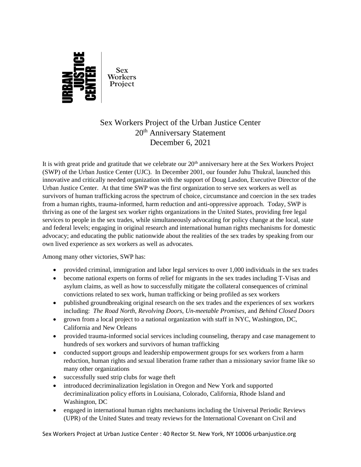

## Sex Workers Project of the Urban Justice Center 20th Anniversary Statement December 6, 2021

It is with great pride and gratitude that we celebrate our  $20<sup>th</sup>$  anniversary here at the Sex Workers Project (SWP) of the Urban Justice Center (UJC). In December 2001, our founder Juhu Thukral, launched this innovative and critically needed organization with the support of Doug Lasdon, Executive Director of the Urban Justice Center. At that time SWP was the first organization to serve sex workers as well as survivors of human trafficking across the spectrum of choice, circumstance and coercion in the sex trades from a human rights, trauma-informed, harm reduction and anti-oppressive approach. Today, SWP is thriving as one of the largest sex worker rights organizations in the United States, providing free legal services to people in the sex trades, while simultaneously advocating for policy change at the local, state and federal levels; engaging in original research and international human rights mechanisms for domestic advocacy; and educating the public nationwide about the realities of the sex trades by speaking from our own lived experience as sex workers as well as advocates.

Among many other victories, SWP has:

- provided criminal, immigration and labor legal services to over 1,000 individuals in the sex trades
- become national experts on forms of relief for migrants in the sex trades including T-Visas and asylum claims, as well as how to successfully mitigate the collateral consequences of criminal convictions related to sex work, human trafficking or being profiled as sex workers
- published groundbreaking original research on the sex trades and the experiences of sex workers including: *The Road North*, *Revolving Doors*, *Un-meetable Promises*, and *Behind Closed Doors*
- grown from a local project to a national organization with staff in NYC, Washington, DC, California and New Orleans
- provided trauma-informed social services including counseling, therapy and case management to hundreds of sex workers and survivors of human trafficking
- conducted support groups and leadership empowerment groups for sex workers from a harm reduction, human rights and sexual liberation frame rather than a missionary savior frame like so many other organizations
- successfully sued strip clubs for wage theft
- introduced decriminalization legislation in Oregon and New York and supported decriminalization policy efforts in Louisiana, Colorado, California, Rhode Island and Washington, DC
- engaged in international human rights mechanisms including the Universal Periodic Reviews (UPR) of the United States and treaty reviews for the International Covenant on Civil and

Sex Workers Project at Urban Justice Center : 40 Rector St. New York, NY 10006 urbanjustice.org